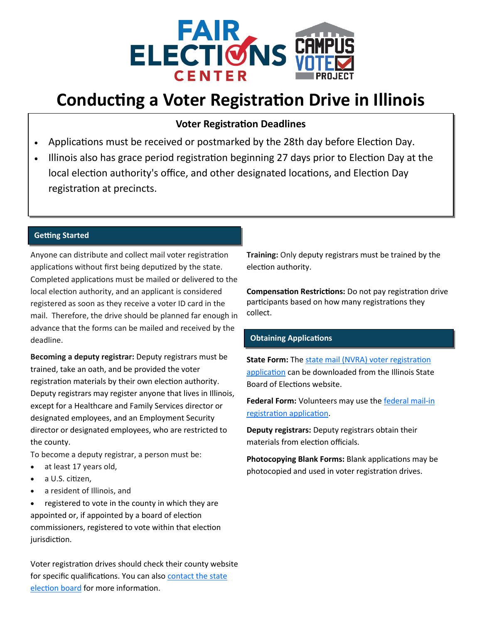

# **Conducting a Voter Registration Drive in Illinois**

## **Voter Registration Deadlines**

- Applications must be received or postmarked by the 28th day before Election Day.
- Illinois also has grace period registration beginning 27 days prior to Election Day at the local election authority's office, and other designated locations, and Election Day registration at precincts.

#### **Getting Started**

Anyone can distribute and collect mail voter registration applications without first being deputized by the state. Completed applications must be mailed or delivered to the local election authority, and an applicant is considered registered as soon as they receive a voter ID card in the mail. Therefore, the drive should be planned far enough in advance that the forms can be mailed and received by the deadline.

**Becoming a deputy registrar:** Deputy registrars must be trained, take an oath, and be provided the voter registration materials by their own election authority. Deputy registrars may register anyone that lives in Illinois, except for a Healthcare and Family Services director or designated employees, and an Employment Security director or designated employees, who are restricted to the county.

To become a deputy registrar, a person must be:

- at least 17 years old,
- a U.S. citizen,
- a resident of Illinois, and

• registered to vote in the county in which they are appointed or, if appointed by a board of election commissioners, registered to vote within that election jurisdiction.

Voter registration drives should check their county website for specific qualifications. You can also contact the state [election board](file:///C:/Users/incsp/Documents/american_captain.zip) for more information.

**Training:** Only deputy registrars must be trained by the election authority.

**Compensation Restrictions:** Do not pay registration drive participants based on how many registrations they collect.

### **Obtaining Applications**

**State Form:** The state mail (NVRA) voter registration [application](https://app.chicagoelections.com/documents/general/nvra-form275-english.pdf) can be downloaded from the Illinois State Board of Elections website.

Federal Form: Volunteers may use the **[federal mail](https://www.eac.gov/voters/national-mail-voter-registration-form/)-in** [registration application.](https://www.eac.gov/voters/national-mail-voter-registration-form/)

**Deputy registrars:** Deputy registrars obtain their materials from election officials.

**Photocopying Blank Forms:** Blank applications may be photocopied and used in voter registration drives.